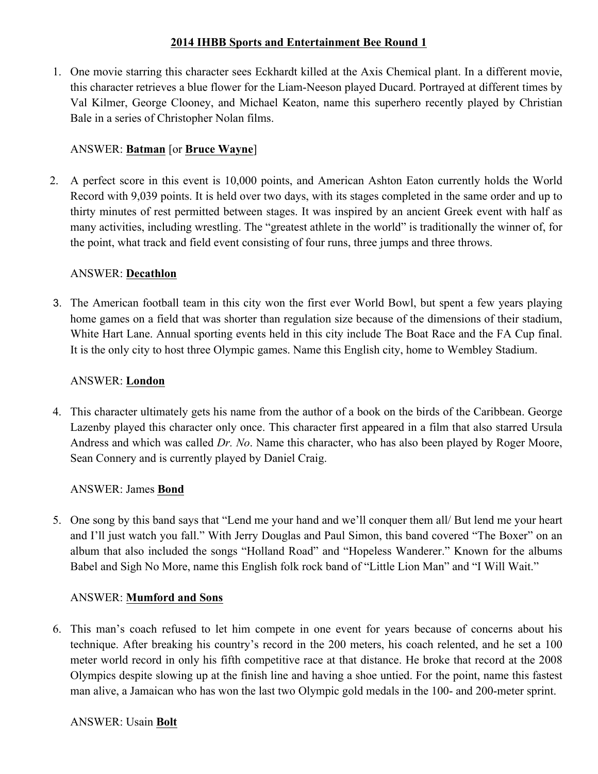### **2014 IHBB Sports and Entertainment Bee Round 1**

1. One movie starring this character sees Eckhardt killed at the Axis Chemical plant. In a different movie, this character retrieves a blue flower for the Liam-Neeson played Ducard. Portrayed at different times by Val Kilmer, George Clooney, and Michael Keaton, name this superhero recently played by Christian Bale in a series of Christopher Nolan films.

# ANSWER: **Batman** [or **Bruce Wayne**]

 2. A perfect score in this event is 10,000 points, and American Ashton Eaton currently holds the World Record with 9,039 points. It is held over two days, with its stages completed in the same order and up to thirty minutes of rest permitted between stages. It was inspired by an ancient Greek event with half as many activities, including wrestling. The "greatest athlete in the world" is traditionally the winner of, for the point, what track and field event consisting of four runs, three jumps and three throws.

# ANSWER: **Decathlon**

 3. The American football team in this city won the first ever World Bowl, but spent a few years playing home games on a field that was shorter than regulation size because of the dimensions of their stadium, White Hart Lane. Annual sporting events held in this city include The Boat Race and the FA Cup final. It is the only city to host three Olympic games. Name this English city, home to Wembley Stadium.

#### ANSWER: **London**

4. This character ultimately gets his name from the author of a book on the birds of the Caribbean. George Lazenby played this character only once. This character first appeared in a film that also starred Ursula Andress and which was called *Dr. No*. Name this character, who has also been played by Roger Moore, Sean Connery and is currently played by Daniel Craig.

# ANSWER: James **Bond**

5. One song by this band says that "Lend me your hand and we'll conquer them all/ But lend me your heart and I'll just watch you fall." With Jerry Douglas and Paul Simon, this band covered "The Boxer" on an album that also included the songs "Holland Road" and "Hopeless Wanderer." Known for the albums Babel and Sigh No More, name this English folk rock band of "Little Lion Man" and "I Will Wait."

#### ANSWER: **Mumford and Sons**

 6. This man's coach refused to let him compete in one event for years because of concerns about his technique. After breaking his country's record in the 200 meters, his coach relented, and he set a 100 meter world record in only his fifth competitive race at that distance. He broke that record at the 2008 Olympics despite slowing up at the finish line and having a shoe untied. For the point, name this fastest man alive, a Jamaican who has won the last two Olympic gold medals in the 100- and 200-meter sprint.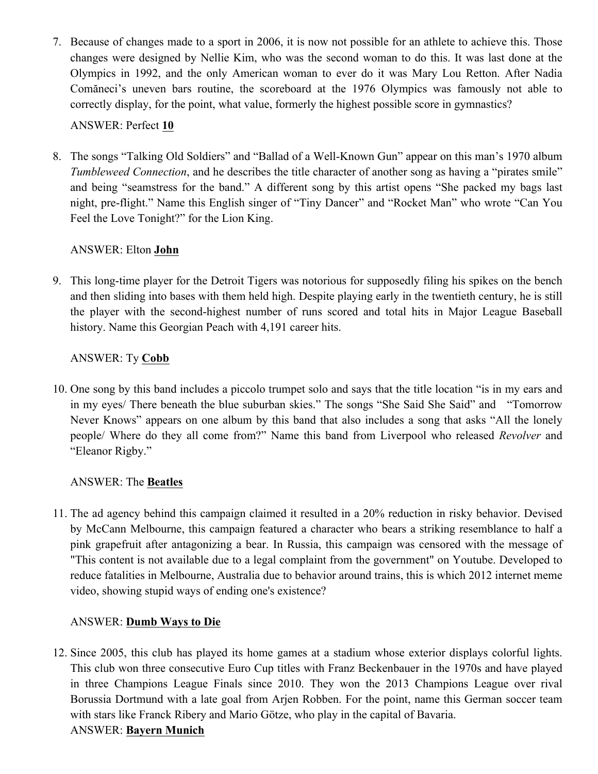7. Because of changes made to a sport in 2006, it is now not possible for an athlete to achieve this. Those changes were designed by Nellie Kim, who was the second woman to do this. It was last done at the Olympics in 1992, and the only American woman to ever do it was Mary Lou Retton. After Nadia Comăneci's uneven bars routine, the scoreboard at the 1976 Olympics was famously not able to correctly display, for the point, what value, formerly the highest possible score in gymnastics?

# ANSWER: Perfect **10**

8. The songs "Talking Old Soldiers" and "Ballad of a Well-Known Gun" appear on this man's 1970 album *Tumbleweed Connection*, and he describes the title character of another song as having a "pirates smile" and being "seamstress for the band." A different song by this artist opens "She packed my bags last night, pre-flight." Name this English singer of "Tiny Dancer" and "Rocket Man" who wrote "Can You Feel the Love Tonight?" for the Lion King.

# ANSWER: Elton **John**

9. This long-time player for the Detroit Tigers was notorious for supposedly filing his spikes on the bench and then sliding into bases with them held high. Despite playing early in the twentieth century, he is still the player with the second-highest number of runs scored and total hits in Major League Baseball history. Name this Georgian Peach with 4,191 career hits.

# ANSWER: Ty **Cobb**

10. One song by this band includes a piccolo trumpet solo and says that the title location "is in my ears and in my eyes/ There beneath the blue suburban skies." The songs "She Said She Said" and "Tomorrow Never Knows" appears on one album by this band that also includes a song that asks "All the lonely people/ Where do they all come from?" Name this band from Liverpool who released *Revolver* and "Eleanor Rigby."

# ANSWER: The **Beatles**

11. The ad agency behind this campaign claimed it resulted in a 20% reduction in risky behavior. Devised by McCann Melbourne, this campaign featured a character who bears a striking resemblance to half a pink grapefruit after antagonizing a bear. In Russia, this campaign was censored with the message of "This content is not available due to a legal complaint from the government" on Youtube. Developed to reduce fatalities in Melbourne, Australia due to behavior around trains, this is which 2012 internet meme video, showing stupid ways of ending one's existence?

# ANSWER: **Dumb Ways to Die**

12. Since 2005, this club has played its home games at a stadium whose exterior displays colorful lights. This club won three consecutive Euro Cup titles with Franz Beckenbauer in the 1970s and have played in three Champions League Finals since 2010. They won the 2013 Champions League over rival Borussia Dortmund with a late goal from Arjen Robben. For the point, name this German soccer team with stars like Franck Ribery and Mario Götze, who play in the capital of Bavaria. ANSWER: **Bayern Munich**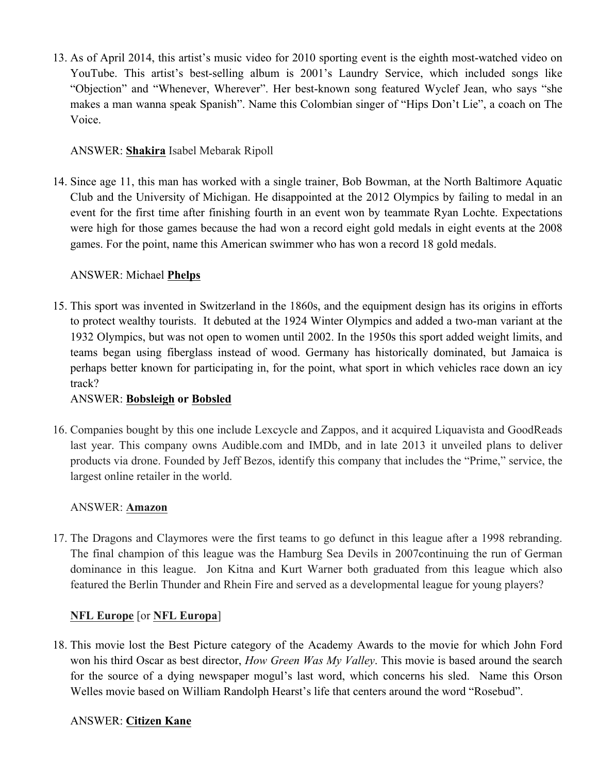13. As of April 2014, this artist's music video for 2010 sporting event is the eighth most-watched video on YouTube. This artist's best-selling album is 2001's Laundry Service, which included songs like "Objection" and "Whenever, Wherever". Her best-known song featured Wyclef Jean, who says "she makes a man wanna speak Spanish". Name this Colombian singer of "Hips Don't Lie", a coach on The Voice.

# ANSWER: **Shakira** Isabel Mebarak Ripoll

14. Since age 11, this man has worked with a single trainer, Bob Bowman, at the North Baltimore Aquatic Club and the University of Michigan. He disappointed at the 2012 Olympics by failing to medal in an event for the first time after finishing fourth in an event won by teammate Ryan Lochte. Expectations were high for those games because the had won a record eight gold medals in eight events at the 2008 games. For the point, name this American swimmer who has won a record 18 gold medals.

### ANSWER: Michael **Phelps**

15. This sport was invented in Switzerland in the 1860s, and the equipment design has its origins in efforts to protect wealthy tourists. It debuted at the 1924 Winter Olympics and added a two-man variant at the 1932 Olympics, but was not open to women until 2002. In the 1950s this sport added weight limits, and teams began using fiberglass instead of wood. Germany has historically dominated, but Jamaica is perhaps better known for participating in, for the point, what sport in which vehicles race down an icy track?

#### ANSWER: **Bobsleigh or Bobsled**

16. Companies bought by this one include Lexcycle and Zappos, and it acquired Liquavista and GoodReads last year. This company owns Audible.com and IMDb, and in late 2013 it unveiled plans to deliver products via drone. Founded by Jeff Bezos, identify this company that includes the "Prime," service, the largest online retailer in the world.

#### ANSWER: **Amazon**

17. The Dragons and Claymores were the first teams to go defunct in this league after a 1998 rebranding. The final champion of this league was the Hamburg Sea Devils in 2007continuing the run of German dominance in this league. Jon Kitna and Kurt Warner both graduated from this league which also featured the Berlin Thunder and Rhein Fire and served as a developmental league for young players?

#### **NFL Europe** [or **NFL Europa**]

18. This movie lost the Best Picture category of the Academy Awards to the movie for which John Ford won his third Oscar as best director, *How Green Was My Valley*. This movie is based around the search for the source of a dying newspaper mogul's last word, which concerns his sled. Name this Orson Welles movie based on William Randolph Hearst's life that centers around the word "Rosebud".

#### ANSWER: **Citizen Kane**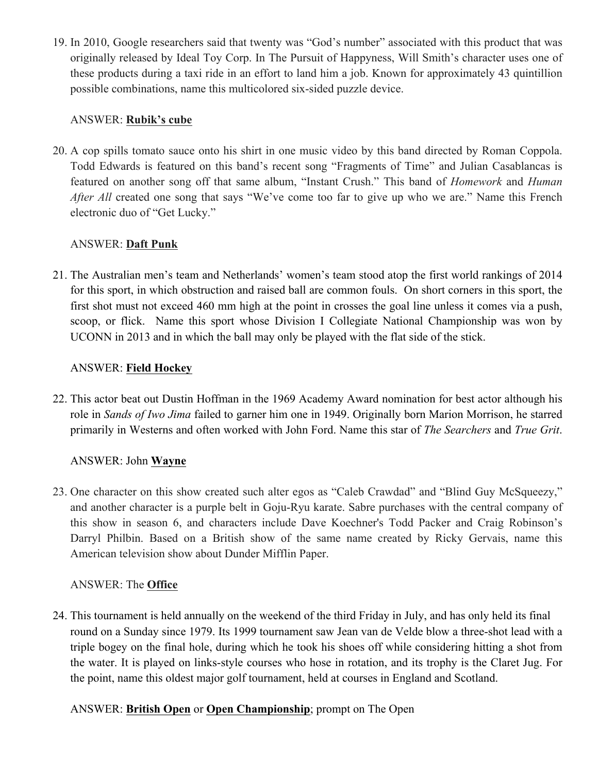19. In 2010, Google researchers said that twenty was "God's number" associated with this product that was originally released by Ideal Toy Corp. In The Pursuit of Happyness, Will Smith's character uses one of these products during a taxi ride in an effort to land him a job. Known for approximately 43 quintillion possible combinations, name this multicolored six-sided puzzle device.

### ANSWER: **Rubik's cube**

20. A cop spills tomato sauce onto his shirt in one music video by this band directed by Roman Coppola. Todd Edwards is featured on this band's recent song "Fragments of Time" and Julian Casablancas is featured on another song off that same album, "Instant Crush." This band of *Homework* and *Human After All* created one song that says "We've come too far to give up who we are." Name this French electronic duo of "Get Lucky."

# ANSWER: **Daft Punk**

21. The Australian men's team and Netherlands' women's team stood atop the first world rankings of 2014 for this sport, in which obstruction and raised ball are common fouls. On short corners in this sport, the first shot must not exceed 460 mm high at the point in crosses the goal line unless it comes via a push, scoop, or flick. Name this sport whose Division I Collegiate National Championship was won by UCONN in 2013 and in which the ball may only be played with the flat side of the stick.

### ANSWER: **Field Hockey**

22. This actor beat out Dustin Hoffman in the 1969 Academy Award nomination for best actor although his role in *Sands of Iwo Jima* failed to garner him one in 1949. Originally born Marion Morrison, he starred primarily in Westerns and often worked with John Ford. Name this star of *The Searchers* and *True Grit*.

# ANSWER: John **Wayne**

23. One character on this show created such alter egos as "Caleb Crawdad" and "Blind Guy McSqueezy," and another character is a purple belt in Goju-Ryu karate. Sabre purchases with the central company of this show in season 6, and characters include Dave Koechner's Todd Packer and Craig Robinson's Darryl Philbin. Based on a British show of the same name created by Ricky Gervais, name this American television show about Dunder Mifflin Paper.

#### ANSWER: The **Office**

24. This tournament is held annually on the weekend of the third Friday in July, and has only held its final round on a Sunday since 1979. Its 1999 tournament saw Jean van de Velde blow a three-shot lead with a triple bogey on the final hole, during which he took his shoes off while considering hitting a shot from the water. It is played on links-style courses who hose in rotation, and its trophy is the Claret Jug. For the point, name this oldest major golf tournament, held at courses in England and Scotland.

# ANSWER: **British Open** or **Open Championship**; prompt on The Open